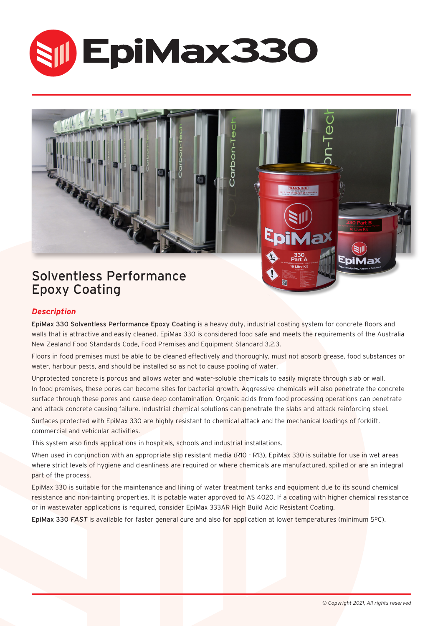





### *Description*

EpiMax 330 Solventless Performance Epoxy Coating is a heavy duty, industrial coating system for concrete floors and walls that is attractive and easily cleaned. EpiMax 330 is considered food safe and meets the requirements of the Australia New Zealand Food Standards Code, Food Premises and Equipment Standard 3.2.3.

Floors in food premises must be able to be cleaned effectively and thoroughly, must not absorb grease, food substances or water, harbour pests, and should be installed so as not to cause pooling of water.

Unprotected concrete is porous and allows water and water-soluble chemicals to easily migrate through slab or wall. In food premises, these pores can become sites for bacterial growth. Aggressive chemicals will also penetrate the concrete surface through these pores and cause deep contamination. Organic acids from food processing operations can penetrate and attack concrete causing failure. Industrial chemical solutions can penetrate the slabs and attack reinforcing steel. Surfaces protected with EpiMax 330 are highly resistant to chemical attack and the mechanical loadings of forklift, commercial and vehicular activities.

This system also finds applications in hospitals, schools and industrial installations.

When used in conjunction with an appropriate slip resistant media (R10 - R13), EpiMax 330 is suitable for use in wet areas where strict levels of hygiene and cleanliness are required or where chemicals are manufactured, spilled or are an integral part of the process.

EpiMax 330 is suitable for the maintenance and lining of water treatment tanks and equipment due to its sound chemical resistance and non-tainting properties. It is potable water approved to AS 4020. If a coating with higher chemical resistance or in wastewater applications is required, consider EpiMax 333AR High Build Acid Resistant Coating.

EpiMax 330 *FAST* is available for faster general cure and also for application at lower temperatures (minimum 5ºC).

(FII) EpiMax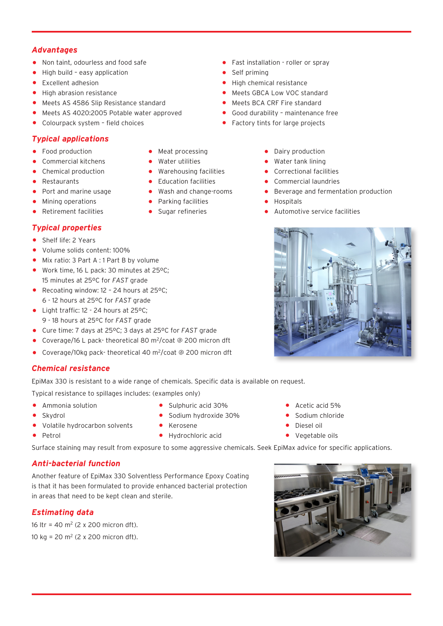## *Advantages*

- 
- High build easy application<br>• Excellent adhesion
- 
- 
- Meets AS 4586 Slip Resistance standard Meets BCA CRF Fire standard Meets AS 4020:2005 Potable water approved Good durability maintenance free
- Meets AS 4020:2005 Potable water approved Good durability maintenance<br>• Colourpack system field choices Factory tints for large projects
- $\bullet$  Colourpack system field choices

## *Typical applications*

- 
- 
- Chemical production Warehousing facilities<br>• Restaurants Cducation facilities
- 
- 
- Mining operations Parking facilities<br>• Retirement facilities Sugar refineries
- 

# *Typical properties*

- Shelf life: 2 Years
- Volume solids content: 100%
- Mix ratio: 3 Part A : 1 Part B by volume
- Work time, 16 L pack: 30 minutes at 25ºC; 15 minutes at 25ºC for *FAST* grade
- Recoating window: 12 24 hours at 25°C: 6 - 12 hours at 25ºC for *FAST* grade
- Light traffic: 12 24 hours at 25°C;
- 9 18 hours at 25ºC for *FAST* grade
- Cure time: 7 days at 25ºC; 3 days at 25ºC for *FAST* grade
- Coverage/16 L pack- theoretical 80 m2/coat @ 200 micron dft
- Coverage/10kg pack-theoretical 40 m<sup>2</sup>/coat @ 200 micron dft

## *Chemical resistance*

EpiMax 330 is resistant to a wide range of chemicals. Specific data is available on request.

Typical resistance to spillages includes: (examples only)

- 
- 
- Volatile hydrocarbon solvents Alerosene Accordination Diesel oil<br>• Petrol Petrol Hydrochloric acid Vegetable oils
- 
- Petrol Hydrochloric acid Vegetable oils

Surface staining may result from exposure to some aggressive chemicals. Seek EpiMax advice for specific applications.

# *Anti-bacterial function*

Another feature of EpiMax 330 Solventless Performance Epoxy Coating is that it has been formulated to provide enhanced bacterial protection in areas that need to be kept clean and sterile.

# *Estimating data*

16 ltr = 40 m<sup>2</sup> (2 x 200 micron dft). 10 kg = 20 m<sup>2</sup> (2 x 200 micron dft).

- Ammonia solution Sulphuric acid 30% Acetic acid 5%
	- Sodium hydroxide 30% Sodium c<br>• Kerosene Diesel oil
	-
- Non taint, odourless and food safe **•** Fast installation roller or spray<br>• High build easy application
	-
- Excellent adhesion High chemical resistance
	- Meets GBCA Low VOC standard<br>• Meets BCA CRF Fire standard
	-
	- -
- Food production Meat processing Dairy production
	-
- Commercial kitchens Water utilities Water tank lining<br>• Chemical production Warehousing facilities Correctional facilities
	-
- Restaurants Education facilities Commercial laundries • Port and marine usage • Wash and change-rooms • Beverage and fermentation production<br>• Mining operations • Parking facilities • Hospitals
	-
	- Automotive service facilities



- 
- 
- 
-